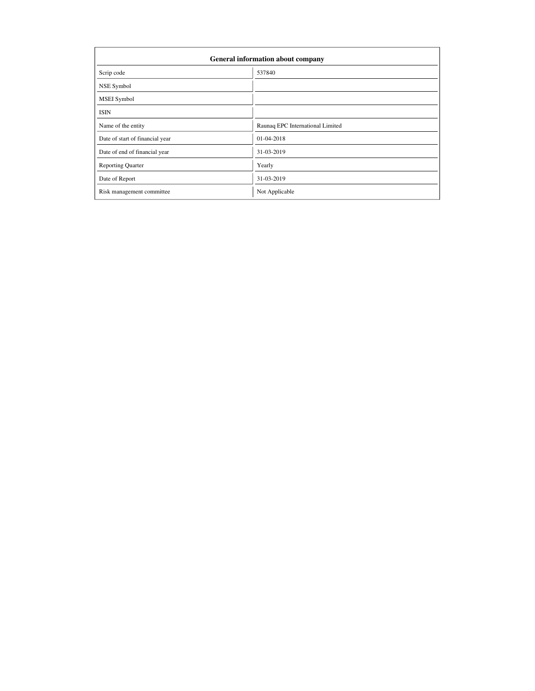| General information about company |                                  |  |  |  |  |  |  |
|-----------------------------------|----------------------------------|--|--|--|--|--|--|
| Scrip code                        | 537840                           |  |  |  |  |  |  |
| NSE Symbol                        |                                  |  |  |  |  |  |  |
| MSEI Symbol                       |                                  |  |  |  |  |  |  |
| <b>ISIN</b>                       |                                  |  |  |  |  |  |  |
| Name of the entity                | Raunaq EPC International Limited |  |  |  |  |  |  |
| Date of start of financial year   | 01-04-2018                       |  |  |  |  |  |  |
| Date of end of financial year     | 31-03-2019                       |  |  |  |  |  |  |
| <b>Reporting Quarter</b>          | Yearly                           |  |  |  |  |  |  |
| Date of Report                    | 31-03-2019                       |  |  |  |  |  |  |
| Risk management committee         | Not Applicable                   |  |  |  |  |  |  |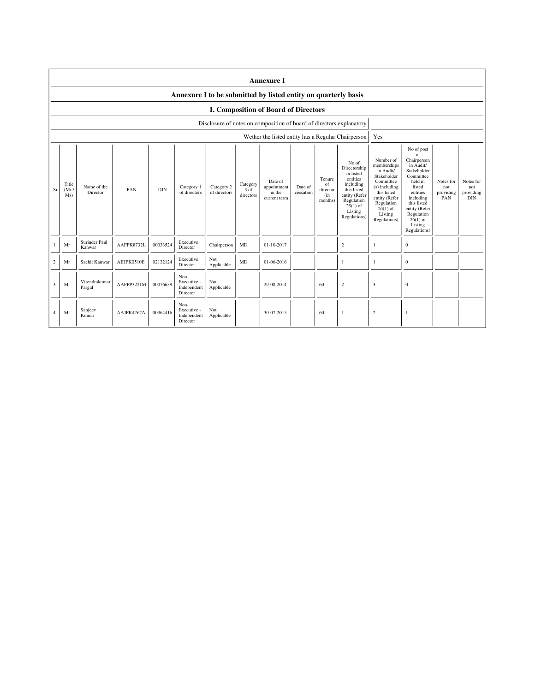|                | <b>Annexure I</b>                                              |                         |            |            |                                                |                            |                               |                                                                      |                      |                                            |                                                                                                                                                    |                                                                                                                                                                           |                                                                                                                                                                                                               |                                      |                                             |
|----------------|----------------------------------------------------------------|-------------------------|------------|------------|------------------------------------------------|----------------------------|-------------------------------|----------------------------------------------------------------------|----------------------|--------------------------------------------|----------------------------------------------------------------------------------------------------------------------------------------------------|---------------------------------------------------------------------------------------------------------------------------------------------------------------------------|---------------------------------------------------------------------------------------------------------------------------------------------------------------------------------------------------------------|--------------------------------------|---------------------------------------------|
|                | Annexure I to be submitted by listed entity on quarterly basis |                         |            |            |                                                |                            |                               |                                                                      |                      |                                            |                                                                                                                                                    |                                                                                                                                                                           |                                                                                                                                                                                                               |                                      |                                             |
|                | <b>I. Composition of Board of Directors</b>                    |                         |            |            |                                                |                            |                               |                                                                      |                      |                                            |                                                                                                                                                    |                                                                                                                                                                           |                                                                                                                                                                                                               |                                      |                                             |
|                |                                                                |                         |            |            |                                                |                            |                               | Disclosure of notes on composition of board of directors explanatory |                      |                                            |                                                                                                                                                    |                                                                                                                                                                           |                                                                                                                                                                                                               |                                      |                                             |
|                |                                                                |                         |            |            |                                                |                            |                               |                                                                      |                      |                                            | Wether the listed entity has a Regular Chairperson                                                                                                 | Yes                                                                                                                                                                       |                                                                                                                                                                                                               |                                      |                                             |
| Sr             | Title<br>(Mr)<br>Ms)                                           | Name of the<br>Director | PAN        | <b>DIN</b> | Category 1<br>of directors                     | Category 2<br>of directors | Category<br>3 of<br>directors | Date of<br>appointment<br>in the<br>current term                     | Date of<br>cessation | Tenure<br>of<br>director<br>(in<br>months) | No of<br>Directorship<br>in listed<br>entities<br>including<br>this listed<br>entity (Refer<br>Regulation<br>$25(1)$ of<br>Listing<br>Regulations) | Number of<br>memberships<br>in Audit/<br>Stakeholder<br>Committee<br>(s) including<br>this listed<br>entity (Refer<br>Regulation<br>$26(1)$ of<br>Listing<br>Regulations) | No of post<br>of<br>Chairperson<br>in Audit/<br>Stakeholder<br>Committee<br>held in<br>listed<br>entities<br>including<br>this listed<br>entity (Refer<br>Regulation<br>$26(1)$ of<br>Listing<br>Regulations) | Notes for<br>not<br>providing<br>PAN | Notes for<br>not<br>providing<br><b>DIN</b> |
| $\mathbf{1}$   | Mr                                                             | Surinder Paul<br>Kanwar | AAFPK8732L | 00033524   | Executive<br>Director                          | Chairperson                | MD                            | 01-10-2017                                                           |                      |                                            | $\overline{c}$                                                                                                                                     | -1                                                                                                                                                                        | $\mathbf{0}$                                                                                                                                                                                                  |                                      |                                             |
| 2              | Mr                                                             | Sachit Kanwar           | AIHPK0510E | 02132124   | Executive<br>Director                          | Not<br>Applicable          | MD                            | 01-06-2016                                                           |                      |                                            | 1                                                                                                                                                  | 1                                                                                                                                                                         | $\mathbf{0}$                                                                                                                                                                                                  |                                      |                                             |
| 3              | Mr                                                             | Virendrakumar<br>Pargal | AAFPP3221M | 00076639   | Non-<br>Executive -<br>Independent<br>Director | Not<br>Applicable          |                               | 29-08-2014                                                           |                      | 60                                         | $\overline{c}$                                                                                                                                     | 3                                                                                                                                                                         | $\mathbf{0}$                                                                                                                                                                                                  |                                      |                                             |
| $\overline{4}$ | Mr                                                             | Sanjeev<br>Kumar        | AAJPK4762A | 00364416   | Non-<br>Executive -<br>Independent<br>Director | Not<br>Applicable          |                               | 30-07-2015                                                           |                      | 60                                         | 1                                                                                                                                                  | $\overline{2}$                                                                                                                                                            | $\mathbf{1}$                                                                                                                                                                                                  |                                      |                                             |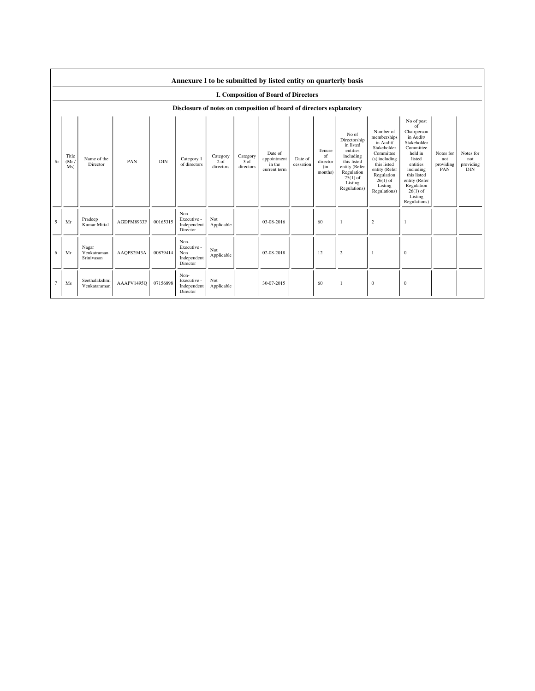|        | Annexure I to be submitted by listed entity on quarterly basis       |                                    |            |            |                                                       |                                 |                               |                                                  |                      |                                            |                                                                                                                                                    |                                                                                                                                                                           |                                                                                                                                                                                                               |                                      |                                             |
|--------|----------------------------------------------------------------------|------------------------------------|------------|------------|-------------------------------------------------------|---------------------------------|-------------------------------|--------------------------------------------------|----------------------|--------------------------------------------|----------------------------------------------------------------------------------------------------------------------------------------------------|---------------------------------------------------------------------------------------------------------------------------------------------------------------------------|---------------------------------------------------------------------------------------------------------------------------------------------------------------------------------------------------------------|--------------------------------------|---------------------------------------------|
|        | I. Composition of Board of Directors                                 |                                    |            |            |                                                       |                                 |                               |                                                  |                      |                                            |                                                                                                                                                    |                                                                                                                                                                           |                                                                                                                                                                                                               |                                      |                                             |
|        | Disclosure of notes on composition of board of directors explanatory |                                    |            |            |                                                       |                                 |                               |                                                  |                      |                                            |                                                                                                                                                    |                                                                                                                                                                           |                                                                                                                                                                                                               |                                      |                                             |
| Sr     | Title<br>(Mr)<br>Ms)                                                 | Name of the<br>Director            | PAN        | <b>DIN</b> | Category 1<br>of directors                            | Category<br>$2$ of<br>directors | Category<br>3 of<br>directors | Date of<br>appointment<br>in the<br>current term | Date of<br>cessation | Tenure<br>of<br>director<br>(in<br>months) | No of<br>Directorship<br>in listed<br>entities<br>including<br>this listed<br>entity (Refer<br>Regulation<br>$25(1)$ of<br>Listing<br>Regulations) | Number of<br>memberships<br>in Audit/<br>Stakeholder<br>Committee<br>(s) including<br>this listed<br>entity (Refer<br>Regulation<br>$26(1)$ of<br>Listing<br>Regulations) | No of post<br>of<br>Chairperson<br>in Audit/<br>Stakeholder<br>Committee<br>held in<br>listed<br>entities<br>including<br>this listed<br>entity (Refer<br>Regulation<br>$26(1)$ of<br>Listing<br>Regulations) | Notes for<br>not<br>providing<br>PAN | Notes for<br>not<br>providing<br><b>DIN</b> |
| 5      | Mr                                                                   | Pradeep<br>Kumar Mittal            | AGDPM8933F | 00165315   | Non-<br>Executive -<br>Independent<br>Director        | Not<br>Applicable               |                               | 03-08-2016                                       |                      | 60                                         | $\mathbf{1}$                                                                                                                                       | $\overline{2}$                                                                                                                                                            | $\mathbf{1}$                                                                                                                                                                                                  |                                      |                                             |
| 6      | Mr                                                                   | Nagar<br>Venkatraman<br>Srinivasan | AAQPS2943A | 00879414   | Non-<br>Executive -<br>Non<br>Independent<br>Director | Not<br>Applicable               |                               | 02-08-2018                                       |                      | 12                                         | $\overline{c}$                                                                                                                                     | $\mathbf{1}$                                                                                                                                                              | $\mathbf{0}$                                                                                                                                                                                                  |                                      |                                             |
| $\tau$ | Ms                                                                   | Seethalakshmi<br>Venkataraman      | AAAPV1495Q | 07156898   | Non-<br>Executive -<br>Independent<br>Director        | Not<br>Applicable               |                               | 30-07-2015                                       |                      | 60                                         | $\mathbf{1}$                                                                                                                                       | $\boldsymbol{0}$                                                                                                                                                          | $\boldsymbol{0}$                                                                                                                                                                                              |                                      |                                             |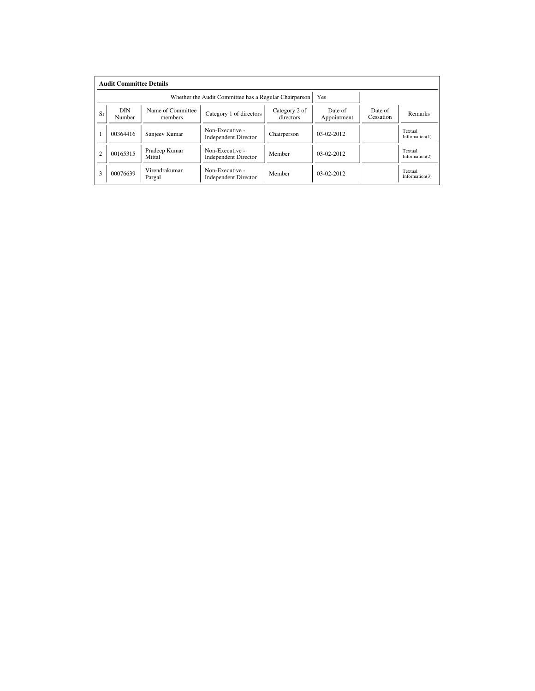|                | <b>Audit Committee Details</b> |                                                       |                                                |                            |                        |                      |                              |
|----------------|--------------------------------|-------------------------------------------------------|------------------------------------------------|----------------------------|------------------------|----------------------|------------------------------|
|                |                                | Whether the Audit Committee has a Regular Chairperson | Yes                                            |                            |                        |                      |                              |
| Sr             | <b>DIN</b><br>Number           | Name of Committee<br>members                          | Category 1 of directors                        | Category 2 of<br>directors | Date of<br>Appointment | Date of<br>Cessation | Remarks                      |
|                | 00364416                       | Sanjeev Kumar                                         | Non-Executive -<br><b>Independent Director</b> | Chairperson                | $03-02-2012$           |                      | Textual<br>Information(1)    |
| $\overline{c}$ | 00165315                       | Pradeep Kumar<br>Mittal                               | Non-Executive -<br><b>Independent Director</b> | Member                     | $03-02-2012$           |                      | Textual<br>Information $(2)$ |
| 3              | 00076639                       | Virendrakumar<br>Pargal                               | Non-Executive -<br><b>Independent Director</b> | Member                     | $03-02-2012$           |                      | Textual<br>Information $(3)$ |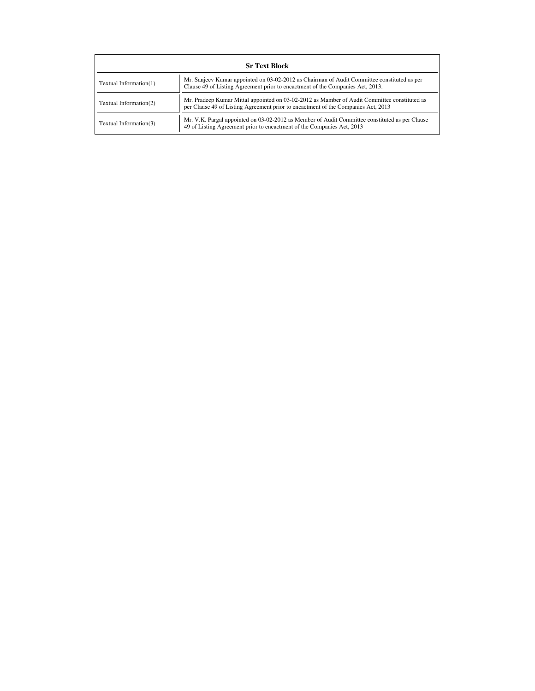|                        | <b>Sr Text Block</b>                                                                                                                                                              |  |  |  |  |  |  |  |
|------------------------|-----------------------------------------------------------------------------------------------------------------------------------------------------------------------------------|--|--|--|--|--|--|--|
| Textual Information(1) | Mr. Sanjeev Kumar appointed on 03-02-2012 as Chairman of Audit Committee constituted as per<br>Clause 49 of Listing Agreement prior to encactment of the Companies Act, 2013.     |  |  |  |  |  |  |  |
| Textual Information(2) | Mr. Pradeep Kumar Mittal appointed on 03-02-2012 as Mamber of Audit Committee constituted as<br>per Clause 49 of Listing Agreement prior to encactment of the Companies Act, 2013 |  |  |  |  |  |  |  |
| Textual Information(3) | Mr. V.K. Pargal appointed on 03-02-2012 as Member of Audit Committee constituted as per Clause<br>49 of Listing Agreement prior to encactment of the Companies Act, 2013          |  |  |  |  |  |  |  |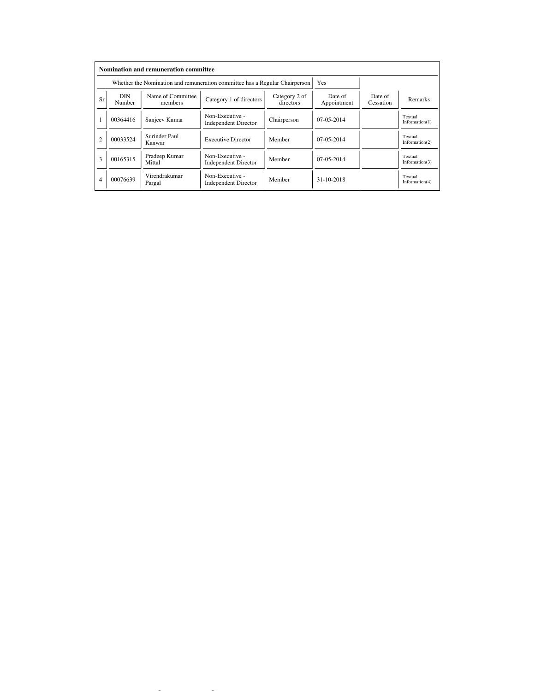|                |                                                      | <b>Nomination and remuneration committee</b>                                |                                                |                            |                        |                      |                              |
|----------------|------------------------------------------------------|-----------------------------------------------------------------------------|------------------------------------------------|----------------------------|------------------------|----------------------|------------------------------|
|                |                                                      | Whether the Nomination and remuneration committee has a Regular Chairperson |                                                | <b>Yes</b>                 |                        |                      |                              |
| Sr             | Name of Committee<br><b>DIN</b><br>Number<br>members |                                                                             | Category 1 of directors                        | Category 2 of<br>directors | Date of<br>Appointment | Date of<br>Cessation | Remarks                      |
|                | 00364416                                             | Sanjeev Kumar                                                               | Non-Executive -<br><b>Independent Director</b> | Chairperson                | $07-05-2014$           |                      | Textual<br>Information(1)    |
| $\overline{c}$ | 00033524                                             | Surinder Paul<br><b>Executive Director</b><br>Kanwar                        |                                                | Member                     | $07-05-2014$           |                      | Textual<br>Information $(2)$ |
| 3              | 00165315                                             | Pradeep Kumar<br>Mittal                                                     | Non-Executive -<br><b>Independent Director</b> | Member                     | $07-05-2014$           |                      | Textual<br>Information $(3)$ |
| $\overline{4}$ | 00076639                                             | Virendrakumar<br>Pargal                                                     | Non-Executive -<br><b>Independent Director</b> | Member                     | $31 - 10 - 2018$       |                      | Textual<br>Information $(4)$ |

file://C: $\mathcal{L}=\mathcal{L}^2$  and  $\mathcal{L}^2$ -2019  $\mathcal{L}^2$  corporate Governance.html 10-04-2019  $\mathcal{L}^2$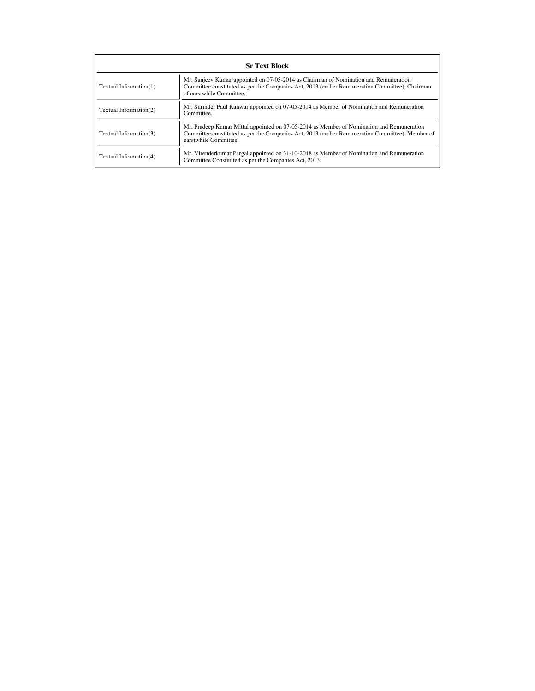|                        | <b>Sr Text Block</b>                                                                                                                                                                                                   |  |  |  |  |  |  |  |
|------------------------|------------------------------------------------------------------------------------------------------------------------------------------------------------------------------------------------------------------------|--|--|--|--|--|--|--|
| Textual Information(1) | Mr. Sanjeev Kumar appointed on 07-05-2014 as Chairman of Nomination and Remuneration<br>Committee constituted as per the Companies Act, 2013 (earlier Remuneration Committee), Chairman<br>of earstwhile Committee.    |  |  |  |  |  |  |  |
| Textual Information(2) | Mr. Surinder Paul Kanwar appointed on 07-05-2014 as Member of Nomination and Remuneration<br>Committee.                                                                                                                |  |  |  |  |  |  |  |
| Textual Information(3) | Mr. Pradeep Kumar Mittal appointed on 07-05-2014 as Member of Nomination and Remuneration<br>Committee constituted as per the Companies Act, 2013 (earlier Remuneration Committee), Member of<br>earstwhile Committee. |  |  |  |  |  |  |  |
| Textual Information(4) | Mr. Virenderkumar Pargal appointed on 31-10-2018 as Member of Nomination and Remuneration<br>Committee Constituted as per the Companies Act, 2013.                                                                     |  |  |  |  |  |  |  |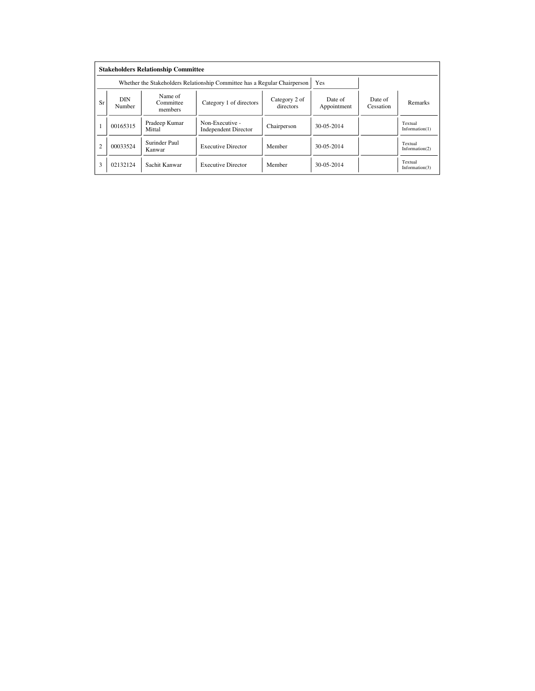|                | <b>Stakeholders Relationship Committee</b> |                                 |                                                                           |                            |                        |                      |                              |  |  |  |  |
|----------------|--------------------------------------------|---------------------------------|---------------------------------------------------------------------------|----------------------------|------------------------|----------------------|------------------------------|--|--|--|--|
|                |                                            |                                 | Whether the Stakeholders Relationship Committee has a Regular Chairperson |                            | Yes                    |                      |                              |  |  |  |  |
| Sr             | <b>DIN</b><br>Number                       | Name of<br>Committee<br>members | Category 1 of directors                                                   | Category 2 of<br>directors | Date of<br>Appointment | Date of<br>Cessation | Remarks                      |  |  |  |  |
|                | 00165315                                   | Pradeep Kumar<br>Mittal         | Non-Executive -<br><b>Independent Director</b>                            | Chairperson                | 30-05-2014             |                      | Textual<br>Information(1)    |  |  |  |  |
| $\overline{c}$ | 00033524                                   | Surinder Paul<br>Kanwar         | <b>Executive Director</b>                                                 | Member                     | 30-05-2014             |                      | Textual<br>Information $(2)$ |  |  |  |  |
| 3              | 02132124                                   | Sachit Kanwar                   | <b>Executive Director</b>                                                 | Member                     | 30-05-2014             |                      | Textual<br>Information $(3)$ |  |  |  |  |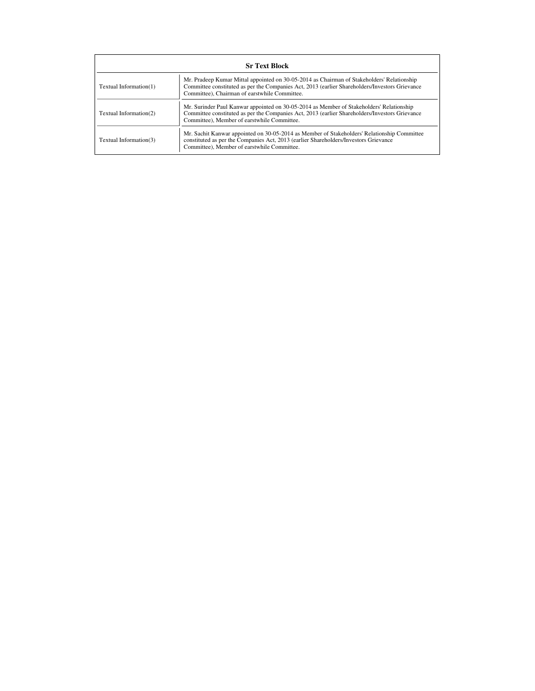|                        | <b>Sr Text Block</b>                                                                                                                                                                                                                          |  |  |  |  |  |  |  |  |
|------------------------|-----------------------------------------------------------------------------------------------------------------------------------------------------------------------------------------------------------------------------------------------|--|--|--|--|--|--|--|--|
| Textual Information(1) | Mr. Pradeep Kumar Mittal appointed on 30-05-2014 as Chairman of Stakeholders' Relationship<br>Committee constituted as per the Companies Act, 2013 (earlier Shareholders/Investors Grievance<br>Committee), Chairman of earstwhile Committee. |  |  |  |  |  |  |  |  |
| Textual Information(2) | Mr. Surinder Paul Kanwar appointed on 30-05-2014 as Member of Stakeholders' Relationship<br>Committee constituted as per the Companies Act, 2013 (earlier Shareholders/Investors Grievance<br>Committee), Member of earstwhile Committee.     |  |  |  |  |  |  |  |  |
| Textual Information(3) | Mr. Sachit Kanwar appointed on 30-05-2014 as Member of Stakeholders' Relationship Committee<br>constituted as per the Companies Act, 2013 (earlier Shareholders/Investors Grievance<br>Committee), Member of earstwhile Committee.            |  |  |  |  |  |  |  |  |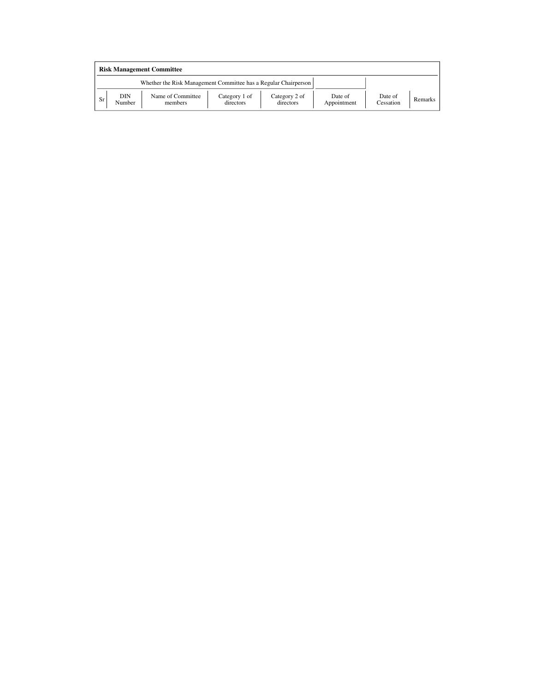|    | <b>Risk Management Committee</b> |                                                                 |                            |                            |                        |                      |         |  |  |  |
|----|----------------------------------|-----------------------------------------------------------------|----------------------------|----------------------------|------------------------|----------------------|---------|--|--|--|
|    |                                  | Whether the Risk Management Committee has a Regular Chairperson |                            |                            |                        |                      |         |  |  |  |
| Sr | DIN<br>Number                    | Name of Committee<br>members                                    | Category 1 of<br>directors | Category 2 of<br>directors | Date of<br>Appointment | Date of<br>Cessation | Remarks |  |  |  |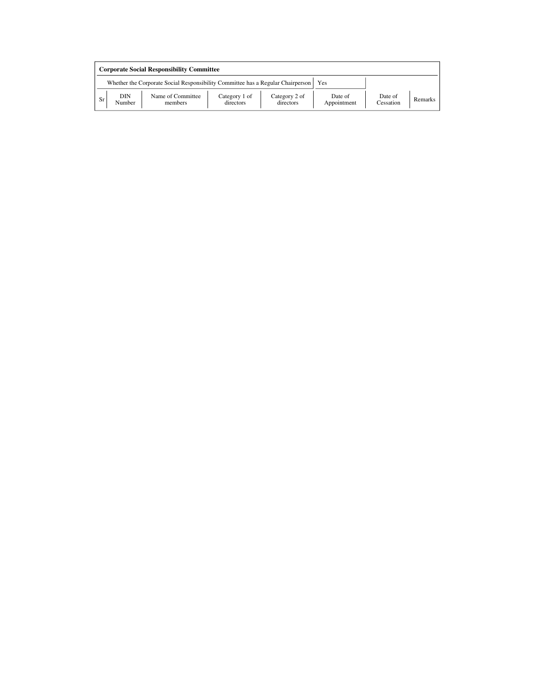|           | <b>Corporate Social Responsibility Committee</b>                                       |                              |                            |                            |                        |                      |         |  |  |
|-----------|----------------------------------------------------------------------------------------|------------------------------|----------------------------|----------------------------|------------------------|----------------------|---------|--|--|
|           | Whether the Corporate Social Responsibility Committee has a Regular Chairperson<br>Yes |                              |                            |                            |                        |                      |         |  |  |
| <b>Sr</b> | DIN<br>Number                                                                          | Name of Committee<br>members | Category 1 of<br>directors | Category 2 of<br>directors | Date of<br>Appointment | Date of<br>Cessation | Remarks |  |  |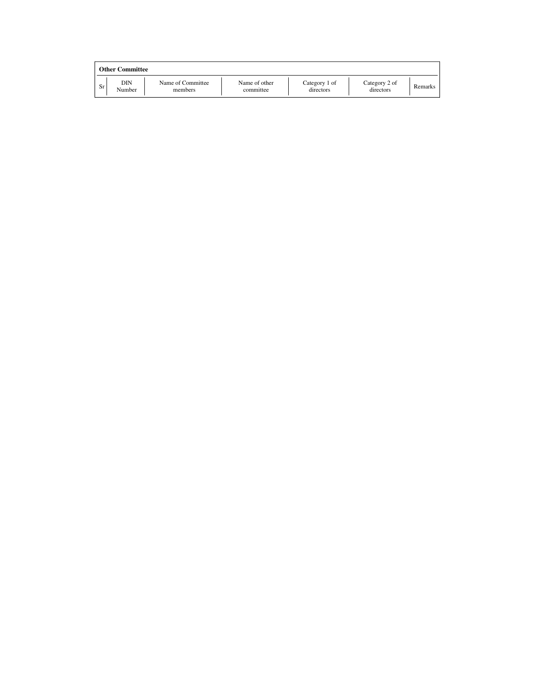|    | Other Committee |                              |                            |                            |                            |         |  |  |  |
|----|-----------------|------------------------------|----------------------------|----------------------------|----------------------------|---------|--|--|--|
| Sr | DIN<br>Number   | Name of Committee<br>members | Name of other<br>committee | Category 1 of<br>directors | Category 2 of<br>directors | Remarks |  |  |  |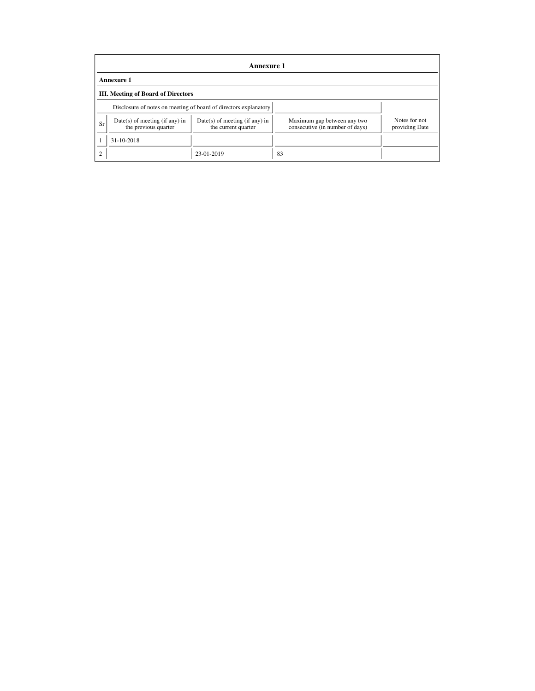|                | <b>Annexure 1</b>                                        |                                                                  |                                                                |                                 |  |  |
|----------------|----------------------------------------------------------|------------------------------------------------------------------|----------------------------------------------------------------|---------------------------------|--|--|
|                | <b>Annexure 1</b>                                        |                                                                  |                                                                |                                 |  |  |
|                | <b>III.</b> Meeting of Board of Directors                |                                                                  |                                                                |                                 |  |  |
|                |                                                          | Disclosure of notes on meeting of board of directors explanatory |                                                                |                                 |  |  |
| Sr             | $Date(s)$ of meeting (if any) in<br>the previous quarter | Date(s) of meeting (if any) in<br>the current quarter            | Maximum gap between any two<br>consecutive (in number of days) | Notes for not<br>providing Date |  |  |
|                | 31-10-2018                                               |                                                                  |                                                                |                                 |  |  |
| $\overline{2}$ |                                                          | 23-01-2019                                                       | 83                                                             |                                 |  |  |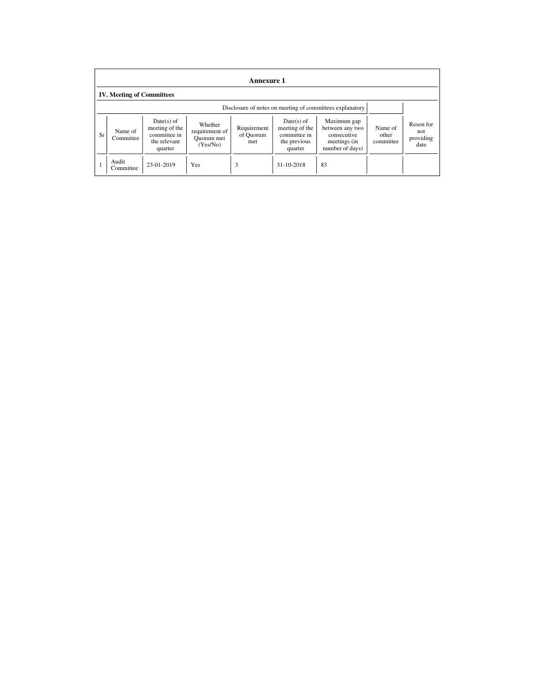|    | <b>Annexure 1</b>                                        |                                                                           |                                                     |                                 |                                                                         |                                                                                  |                               |                                        |
|----|----------------------------------------------------------|---------------------------------------------------------------------------|-----------------------------------------------------|---------------------------------|-------------------------------------------------------------------------|----------------------------------------------------------------------------------|-------------------------------|----------------------------------------|
|    | <b>IV. Meeting of Committees</b>                         |                                                                           |                                                     |                                 |                                                                         |                                                                                  |                               |                                        |
|    | Disclosure of notes on meeting of committees explanatory |                                                                           |                                                     |                                 |                                                                         |                                                                                  |                               |                                        |
| Sr | Name of<br>Committee                                     | $Date(s)$ of<br>meeting of the<br>committee in<br>the relevant<br>quarter | Whether<br>requirement of<br>Quorum met<br>(Yes/No) | Requirement<br>of Quorum<br>met | Date(s) of<br>meeting of the<br>committee in<br>the previous<br>quarter | Maximum gap<br>between any two<br>consecutive<br>meetings (in<br>number of days) | Name of<br>other<br>committee | Reson for<br>not.<br>providing<br>date |
|    | Audit<br>Committee                                       | 23-01-2019                                                                | Yes                                                 | 3                               | 31-10-2018                                                              | 83                                                                               |                               |                                        |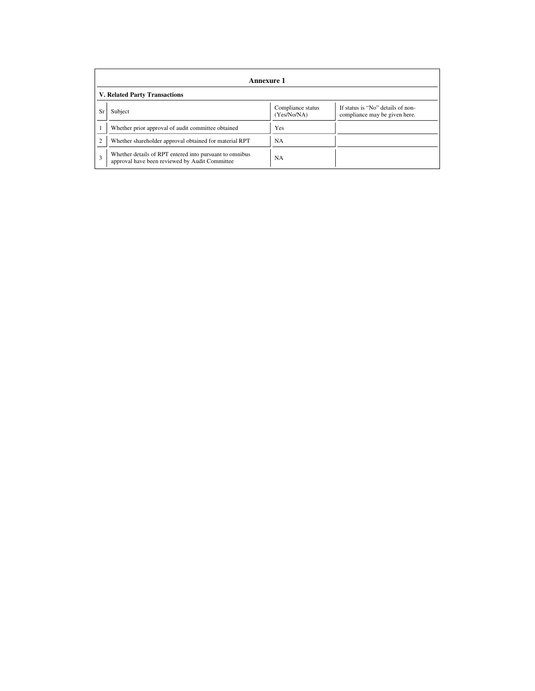|                | <b>Annexure 1</b>                                                                                         |                                  |                                                                    |  |  |
|----------------|-----------------------------------------------------------------------------------------------------------|----------------------------------|--------------------------------------------------------------------|--|--|
|                | <b>V. Related Party Transactions</b>                                                                      |                                  |                                                                    |  |  |
| Sr             | Subject                                                                                                   | Compliance status<br>(Yes/No/NA) | If status is "No" details of non-<br>compliance may be given here. |  |  |
|                | Whether prior approval of audit committee obtained                                                        | Yes                              |                                                                    |  |  |
| $\overline{2}$ | Whether shareholder approval obtained for material RPT                                                    | <b>NA</b>                        |                                                                    |  |  |
| 3              | Whether details of RPT entered into pursuant to omnibus<br>approval have been reviewed by Audit Committee | <b>NA</b>                        |                                                                    |  |  |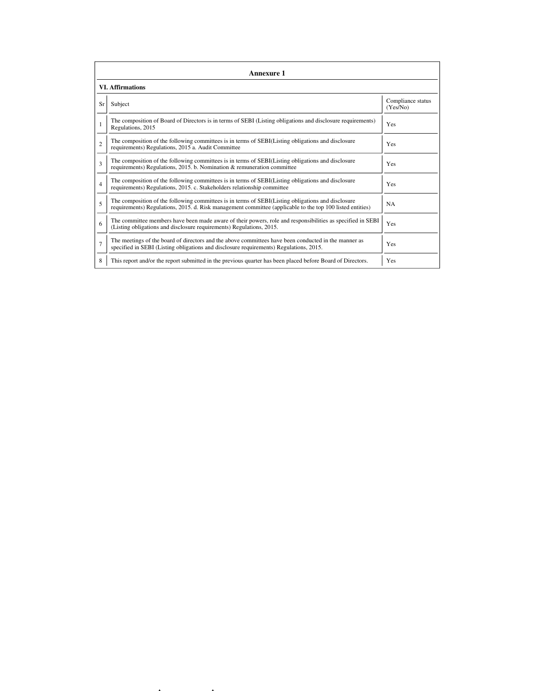|                | <b>Annexure 1</b>                                                                                                                                                                                               |                               |  |  |  |  |
|----------------|-----------------------------------------------------------------------------------------------------------------------------------------------------------------------------------------------------------------|-------------------------------|--|--|--|--|
|                | <b>VI.</b> Affirmations                                                                                                                                                                                         |                               |  |  |  |  |
| Sr             | Subject                                                                                                                                                                                                         | Compliance status<br>(Yes/No) |  |  |  |  |
| 1              | The composition of Board of Directors is in terms of SEBI (Listing obligations and disclosure requirements)<br>Regulations, 2015                                                                                | Yes                           |  |  |  |  |
| $\overline{c}$ | The composition of the following committees is in terms of SEBI(Listing obligations and disclosure<br>requirements) Regulations, 2015 a. Audit Committee                                                        | Yes                           |  |  |  |  |
| 3              | The composition of the following committees is in terms of SEBI(Listing obligations and disclosure<br>requirements) Regulations, 2015. b. Nomination & remuneration committee                                   | <b>Yes</b>                    |  |  |  |  |
| $\overline{4}$ | The composition of the following committees is in terms of SEBI(Listing obligations and disclosure<br>requirements) Regulations, 2015. c. Stakeholders relationship committee                                   | Yes                           |  |  |  |  |
| 5              | The composition of the following committees is in terms of SEBI(Listing obligations and disclosure<br>requirements) Regulations, 2015. d. Risk management committee (applicable to the top 100 listed entities) | <b>NA</b>                     |  |  |  |  |
| 6              | The committee members have been made aware of their powers, role and responsibilities as specified in SEBI<br>(Listing obligations and disclosure requirements) Regulations, 2015.                              | Yes                           |  |  |  |  |
| $\overline{7}$ | The meetings of the board of directors and the above committees have been conducted in the manner as<br>specified in SEBI (Listing obligations and disclosure requirements) Regulations, 2015.                  | Yes                           |  |  |  |  |
| 8              | This report and/or the report submitted in the previous quarter has been placed before Board of Directors.                                                                                                      | Yes                           |  |  |  |  |

 $f_{\rm eff}$  is the corporate Governance.html  $\Gamma$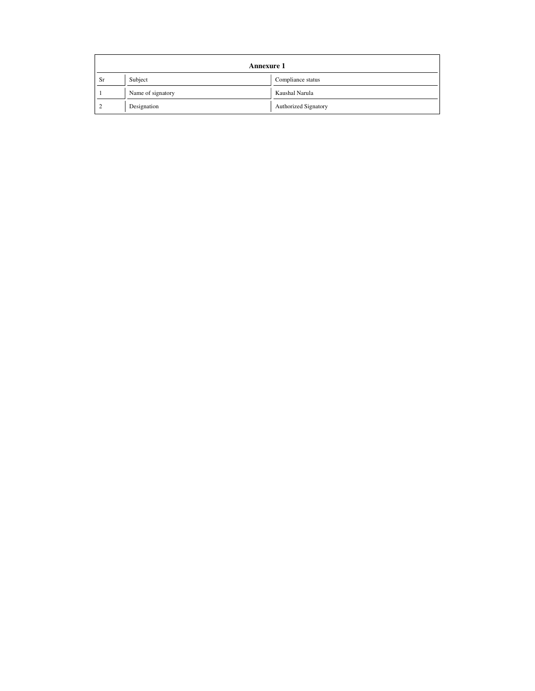|               | <b>Annexure 1</b> |                             |  |  |  |
|---------------|-------------------|-----------------------------|--|--|--|
| Subject<br>Sr |                   | Compliance status           |  |  |  |
|               | Name of signatory | Kaushal Narula              |  |  |  |
| Designation   |                   | <b>Authorized Signatory</b> |  |  |  |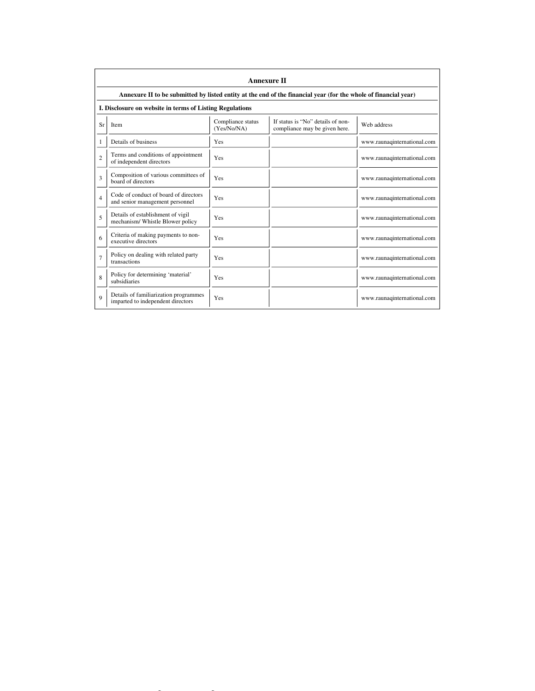|                | <b>Annexure II</b>                                                                                              |                                  |                                                                    |                             |  |  |  |
|----------------|-----------------------------------------------------------------------------------------------------------------|----------------------------------|--------------------------------------------------------------------|-----------------------------|--|--|--|
|                | Annexure II to be submitted by listed entity at the end of the financial year (for the whole of financial year) |                                  |                                                                    |                             |  |  |  |
|                | I. Disclosure on website in terms of Listing Regulations                                                        |                                  |                                                                    |                             |  |  |  |
| Sr             | Item                                                                                                            | Compliance status<br>(Yes/No/NA) | If status is "No" details of non-<br>compliance may be given here. | Web address                 |  |  |  |
| 1              | Details of business                                                                                             | Yes                              |                                                                    | www.raunaqinternational.com |  |  |  |
| $\overline{c}$ | Terms and conditions of appointment<br>of independent directors                                                 | Yes                              |                                                                    | www.raunaqinternational.com |  |  |  |
| 3              | Composition of various committees of<br>board of directors                                                      | Yes                              |                                                                    | www.raunaqinternational.com |  |  |  |
| $\overline{4}$ | Code of conduct of board of directors<br>and senior management personnel                                        | Yes                              |                                                                    | www.raunaqinternational.com |  |  |  |
| 5              | Details of establishment of vigil<br>mechanism/ Whistle Blower policy                                           | Yes                              |                                                                    | www.raunaqinternational.com |  |  |  |
| 6              | Criteria of making payments to non-<br>executive directors                                                      | Yes                              |                                                                    | www.raunaqinternational.com |  |  |  |
| $\overline{7}$ | Policy on dealing with related party<br>transactions                                                            | Yes                              |                                                                    | www.raunaqinternational.com |  |  |  |
| 8              | Policy for determining 'material'<br>subsidiaries                                                               | Yes                              |                                                                    | www.raunaqinternational.com |  |  |  |
| $\mathbf Q$    | Details of familiarization programmes<br>imparted to independent directors                                      | Yes                              |                                                                    | www.raunaqinternational.com |  |  |  |

file://C: $\Gamma$ /C: $\Gamma$ /C: $\Gamma$ /C: $\Gamma$ /C: $\Gamma$ /C: $\Gamma$ /C: $\Gamma$ /C: $\Gamma$ /C: $\Gamma$ /C: $\Gamma$ /C: $\Gamma$ /C: $\Gamma$ /C: $\Gamma$ /C: $\Gamma$ /C: $\Gamma$ /C: $\Gamma$ /C: $\Gamma$ /C: $\Gamma$ /C: $\Gamma$ /C: $\Gamma$ /C: $\Gamma$ /C: $\Gamma$ /C: $\Gamma$ /C: $\Gamma$ /C: $\Gamma$ /C: $\Gamma$ /C: $\Gamma$ /C: $\Gamma$ /C: $\Gamma$ /C: $\Gamma$ /C: $\$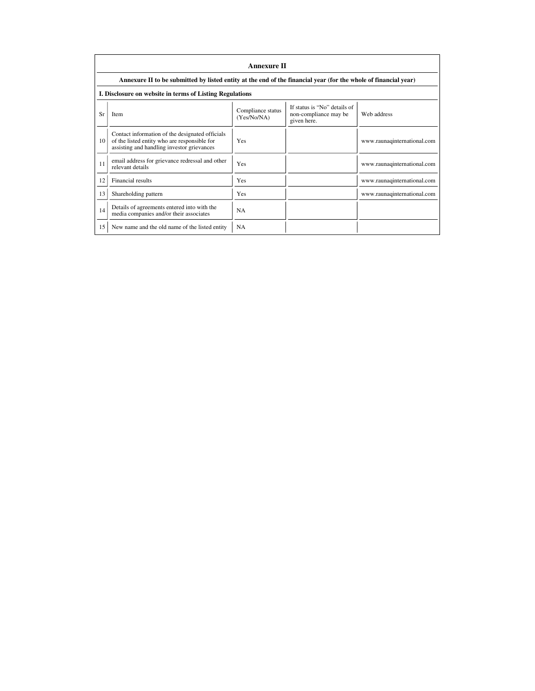|      | <b>Annexure II</b>                                                                                                                            |                                  |                                                                      |                             |  |  |
|------|-----------------------------------------------------------------------------------------------------------------------------------------------|----------------------------------|----------------------------------------------------------------------|-----------------------------|--|--|
|      | Annexure II to be submitted by listed entity at the end of the financial year (for the whole of financial year)                               |                                  |                                                                      |                             |  |  |
|      | I. Disclosure on website in terms of Listing Regulations                                                                                      |                                  |                                                                      |                             |  |  |
| Sr   | Item                                                                                                                                          | Compliance status<br>(Yes/No/NA) | If status is "No" details of<br>non-compliance may be<br>given here. | Web address                 |  |  |
| 10 l | Contact information of the designated officials<br>of the listed entity who are responsible for<br>assisting and handling investor grievances | Yes                              |                                                                      | www.raunaqinternational.com |  |  |
| 11   | email address for grievance redressal and other<br>relevant details                                                                           | Yes                              |                                                                      | www.raunaqinternational.com |  |  |
| 12   | Financial results                                                                                                                             | Yes                              |                                                                      | www.raunaqinternational.com |  |  |
| 13   | Shareholding pattern                                                                                                                          | Yes                              |                                                                      | www.raunaqinternational.com |  |  |
| 14   | Details of agreements entered into with the<br>media companies and/or their associates                                                        | <b>NA</b>                        |                                                                      |                             |  |  |
| 15   | New name and the old name of the listed entity                                                                                                | <b>NA</b>                        |                                                                      |                             |  |  |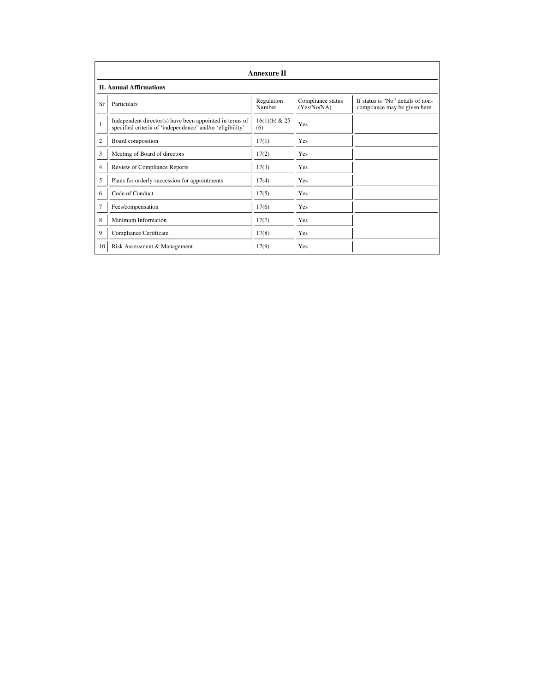|                | <b>Annexure II</b>                                                                                                   |                      |                                  |                                                                    |  |
|----------------|----------------------------------------------------------------------------------------------------------------------|----------------------|----------------------------------|--------------------------------------------------------------------|--|
|                | <b>II. Annual Affirmations</b>                                                                                       |                      |                                  |                                                                    |  |
| Sr             | Particulars                                                                                                          | Regulation<br>Number | Compliance status<br>(Yes/No/NA) | If status is "No" details of non-<br>compliance may be given here. |  |
| $\mathbf{1}$   | Independent director(s) have been appointed in terms of<br>specified criteria of 'independence' and/or 'eligibility' | 16(1)(b) & 25<br>(6) | Yes                              |                                                                    |  |
| $\overline{2}$ | Board composition                                                                                                    | 17(1)                | <b>Yes</b>                       |                                                                    |  |
| 3              | Meeting of Board of directors                                                                                        | 17(2)                | <b>Yes</b>                       |                                                                    |  |
| $\overline{4}$ | Review of Compliance Reports                                                                                         | 17(3)                | <b>Yes</b>                       |                                                                    |  |
| 5              | Plans for orderly succession for appointments                                                                        | 17(4)                | Yes                              |                                                                    |  |
| 6              | Code of Conduct                                                                                                      | 17(5)                | <b>Yes</b>                       |                                                                    |  |
| 7              | Fees/compensation                                                                                                    | 17(6)                | <b>Yes</b>                       |                                                                    |  |
| 8              | Minimum Information                                                                                                  | 17(7)                | Yes                              |                                                                    |  |
| 9              | Compliance Certificate                                                                                               | 17(8)                | <b>Yes</b>                       |                                                                    |  |
| 10             | Risk Assessment & Management                                                                                         | 17(9)                | Yes                              |                                                                    |  |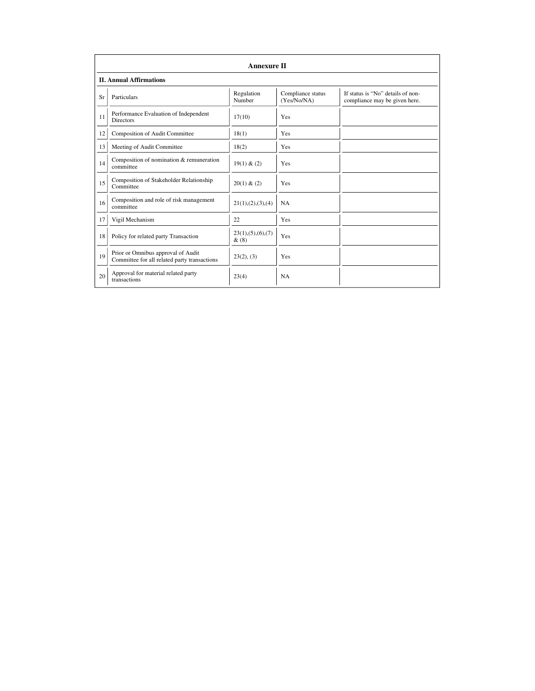|    | <b>Annexure II</b>                                                                 |                              |                                  |                                                                    |  |  |
|----|------------------------------------------------------------------------------------|------------------------------|----------------------------------|--------------------------------------------------------------------|--|--|
|    | <b>II. Annual Affirmations</b>                                                     |                              |                                  |                                                                    |  |  |
| Sr | Particulars                                                                        | Regulation<br>Number         | Compliance status<br>(Yes/No/NA) | If status is "No" details of non-<br>compliance may be given here. |  |  |
| 11 | Performance Evaluation of Independent<br><b>Directors</b>                          | 17(10)                       | Yes                              |                                                                    |  |  |
| 12 | Composition of Audit Committee                                                     | 18(1)                        | Yes                              |                                                                    |  |  |
| 13 | Meeting of Audit Committee                                                         | 18(2)                        | Yes                              |                                                                    |  |  |
| 14 | Composition of nomination & remuneration<br>committee                              | 19(1) & (2)                  | Yes                              |                                                                    |  |  |
| 15 | Composition of Stakeholder Relationship<br>Committee                               | 20(1) & (2)                  | Yes                              |                                                                    |  |  |
| 16 | Composition and role of risk management<br>committee                               | 21(1), (2), (3), (4)         | <b>NA</b>                        |                                                                    |  |  |
| 17 | Vigil Mechanism                                                                    | 22                           | Yes                              |                                                                    |  |  |
| 18 | Policy for related party Transaction                                               | 23(1), (5), (6), (7)<br>&(8) | Yes                              |                                                                    |  |  |
| 19 | Prior or Omnibus approval of Audit<br>Committee for all related party transactions | 23(2), (3)                   | Yes                              |                                                                    |  |  |
| 20 | Approval for material related party<br>transactions                                | 23(4)                        | <b>NA</b>                        |                                                                    |  |  |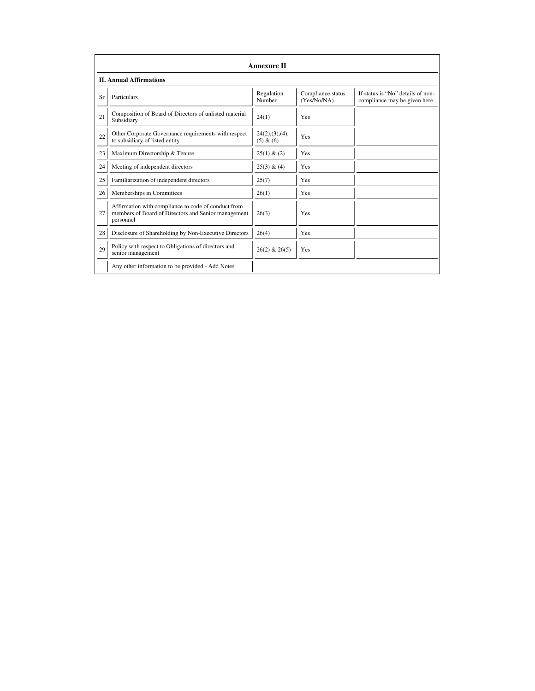|    | <b>Annexure II</b>                                                                                                      |                                |                                  |                                                                    |  |
|----|-------------------------------------------------------------------------------------------------------------------------|--------------------------------|----------------------------------|--------------------------------------------------------------------|--|
|    | <b>II. Annual Affirmations</b>                                                                                          |                                |                                  |                                                                    |  |
| Sr | Particulars                                                                                                             | Regulation<br>Number           | Compliance status<br>(Yes/No/NA) | If status is "No" details of non-<br>compliance may be given here. |  |
| 21 | Composition of Board of Directors of unlisted material<br>Subsidiary                                                    | 24(1)                          | Yes                              |                                                                    |  |
| 22 | Other Corporate Governance requirements with respect<br>to subsidiary of listed entity                                  | $24(2),(3),(4)$ ,<br>(5) & (6) | Yes                              |                                                                    |  |
| 23 | Maximum Directorship & Tenure                                                                                           | 25(1) & (2)                    | Yes                              |                                                                    |  |
| 24 | Meeting of independent directors                                                                                        | 25(3) & (4)                    | Yes                              |                                                                    |  |
| 25 | Familiarization of independent directors                                                                                | 25(7)                          | Yes                              |                                                                    |  |
| 26 | Memberships in Committees                                                                                               | 26(1)                          | Yes                              |                                                                    |  |
| 27 | Affirmation with compliance to code of conduct from<br>members of Board of Directors and Senior management<br>personnel | 26(3)                          | Yes                              |                                                                    |  |
| 28 | Disclosure of Shareholding by Non-Executive Directors                                                                   | 26(4)                          | Yes                              |                                                                    |  |
| 29 | Policy with respect to Obligations of directors and<br>senior management                                                | $26(2)$ & $26(5)$              | Yes                              |                                                                    |  |
|    | Any other information to be provided - Add Notes                                                                        |                                |                                  |                                                                    |  |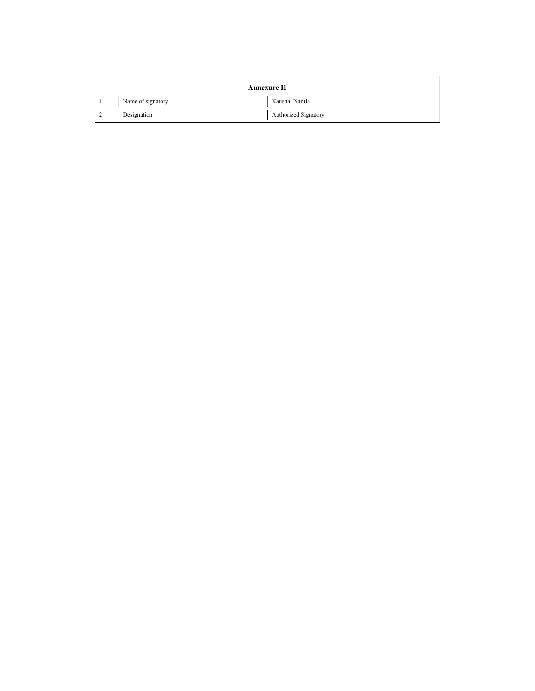| <b>Annexure II</b> |             |                             |  |
|--------------------|-------------|-----------------------------|--|
| Name of signatory  |             | Kaushal Narula              |  |
|                    | Designation | <b>Authorized Signatory</b> |  |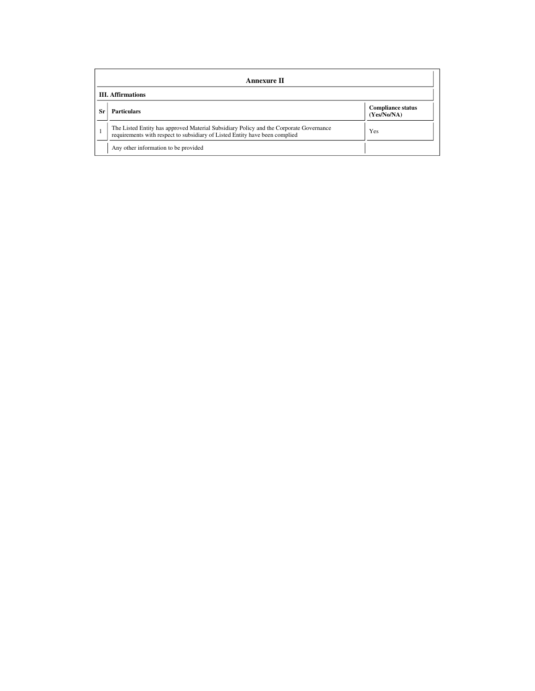|    | <b>Annexure II</b>                                                                                                                                                    |                                         |  |  |  |
|----|-----------------------------------------------------------------------------------------------------------------------------------------------------------------------|-----------------------------------------|--|--|--|
|    | <b>III.</b> Affirmations                                                                                                                                              |                                         |  |  |  |
| Sr | <b>Particulars</b>                                                                                                                                                    | <b>Compliance status</b><br>(Yes/No/NA) |  |  |  |
|    | The Listed Entity has approved Material Subsidiary Policy and the Corporate Governance<br>requirements with respect to subsidiary of Listed Entity have been complied | Yes                                     |  |  |  |
|    | Any other information to be provided                                                                                                                                  |                                         |  |  |  |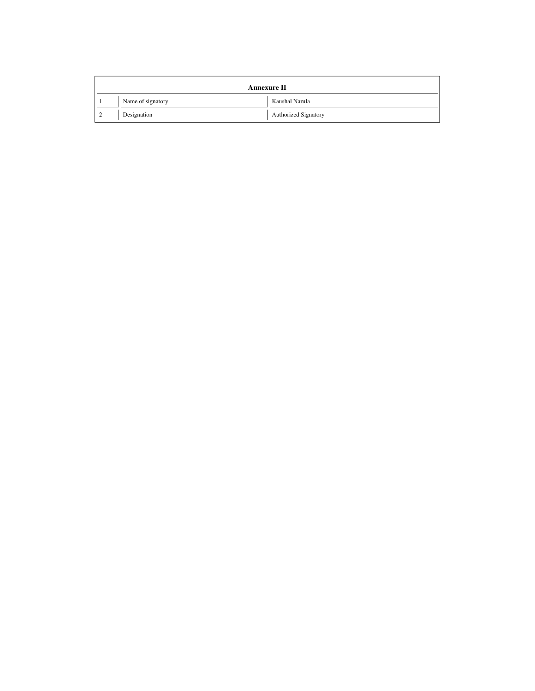| <b>Annexure II</b> |                   |                             |
|--------------------|-------------------|-----------------------------|
|                    | Name of signatory | Kaushal Narula              |
|                    | Designation       | <b>Authorized Signatory</b> |